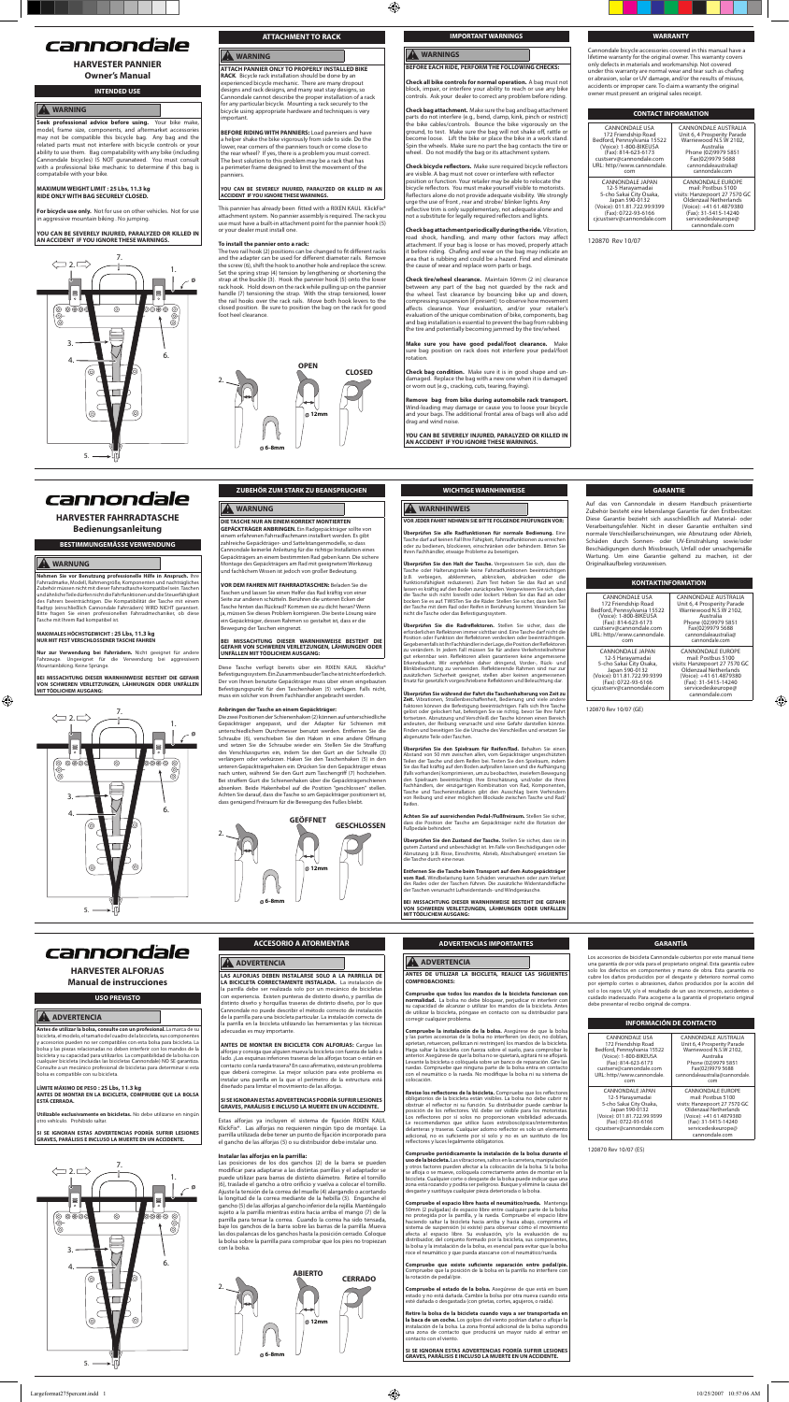

2.

**A** WARNUNG

# cannondale

# **HARVESTER PANNIER**

**Owner's Manual**

# **INTENDED USE**

### **WARNING**

Seek professional advice before using. Your bike make nodel, frame size, components, and aftermarket accessories may not be compatible this bicycle bag. Any bag and the related parts must not interfere with bicycle controls or your ability to use them. Bag compatability with any bike (including Cannondale bicycles) IS NOT guranateed. You must consult with a professional bike mechanic to determine if this bag is compatabile with your bike.

**ATTACH PANNIER ONLY TO PROPERLY INSTALLED BIKE RACK**. Bicycle rack installation should be done by an experienced bicycle mechanic. There are many dropout designs and rack designs, and many seat stay designs, so Cannondale cannot describe the proper installation of a rack for any particular bicycle. Mounting a rack securely to the bicycle using appropriate hardware and techniques is very .<br>nportant

#### **MAXIMUM WEIGHT LIMIT : 25 Lbs, 11.3 kg RIDE ONLY WITH BAG SECURELY CLOSED.**

**For bicycle use only.** Not for use on other vehicles. Not for use in aggressive mountain biking . No jumping.

**YOU CAN BE SEVERELY INJURED, PARALYZED OR KILLED IN AN ACCIDENT IF YOU IGNORE THESE WARNINGS.** 

# **ATTACHMENT TO RACK**

# **A** WARNING

This pannier has already been fitted with a RIXEN KAUL KlickFix® attachment system. No pannier assembly is required. The rack you use must have a built-in attachment point for the pannier hook (5) or your dealer must install one.

The two rail hook (2) positions can be changed to fit different racks and the adapter can be used for different diameter rails. Remove the screw (6), shift the hook to another hole and replace the screw. Set the spring strap (4) tension by lengthening or shortening the strap at the buckle (3). Hook the pannier hook (5) onto the lower rack hook. Hold down on the rack while pulling up on the pannier handle (7) tensioning the strap. With the strap tensioned, lower the rail hooks over the rack rails. Move both hook levers to the closed position. Be sure to position the bag on the rack for good foot heel clearance.



**BEFORE RIDING WITH PANNIERS:** Load panniers and have a helper shake the bike vigorously from side to side. Do the lower, rear corners of the panniers touch or come close to the rear wheel? If yes, there is a problem you must correct. The best solution to this problem may be a rack that has a perimeter frame designed to limit the movement of the panniers.

# **YOU CAN BE SEVERELY INJURED, PARALYZED OR KILLED IN AN ACCIDENT IF YOU IGNORE THESE WARNINGS.**

**Check all bike controls for normal operation.** A bag must not block, impair, or interfere your ability to reach or use any bike ontrols. Ask your dealer to correct any problem before riding

#### **To install the pannier onto a rack:**

**Check bag attachment.** Make sure the bag and bag attachment parts do not interfere (e.g., bend, clamp, kink, pinch or restrict) the bike cables/controls. Bounce the bike vigorously on the ground, to test. Make sure the bag will not shake off, rattle or ecome loose. Lift the bike or place the bike in a work stand. Spin the wheels. Make sure no part the bag contacts the tire or heel. Do not modify the bag or its attachment system

Check bicycle reflectors. Make sure required bicycle reflectors are visible. A bag must not cover or interfere with reflector<br>position or function. Your retailer may be able to relocate the icycle reflectors. You must make yourself visible to motorists Reflectors alone do not provide adequate visibility. We strongly urge the use of front , rear and strobe/ blinker lights. Any reflective trim is only supplementary, not adequate alone and<br>not a substitute for legally required reflectors and lights.

**Check bag attachment periodically during the ride.** Vibration, road shock, handling, and many other factors may affect attachment. If your bag is loose or has moved, properly attach it before riding. Chafing and wear on the bag may indicate an area that is rubbing and could be a hazard. Find and eliminate the cause of wear and replace worn parts or bags.



Cannondale bicycle accessories covered in this manual have a lifetime warranty for the original owner. This warranty covers only defects in materials and workmanship. Not covered under this warranty are normal wear and tear such as chafing or abrasion, solar or UV damage, and/or the results of misuse, accidents or improper care. To claim a warranty the original owner must present an original sales receipt.

**Make sure you have good pedal/foot clearance.** sure bag position on rack does not interfere your pedal/foot rotation.

| <b>CONTACT INFORMATION</b>  |                               |  |
|-----------------------------|-------------------------------|--|
| <b>CANNONDALE USA</b>       | <b>CANNONDALE AUSTRALIA</b>   |  |
| 172 Friendship Road         | Unit 6, 4 Prosperity Parade   |  |
| Bedford, Pennsylvania 15522 | Warriewood N.S.W 2102,        |  |
| (Voice): 1-800-BIKEUSA      | Australia                     |  |
| (Fax): 814-623-6173         | Phone (02)9979 5851           |  |
| custserv@cannondale.com     | Fax(02)9979 5688              |  |
| JRL: http//www.cannondale.  | cannondaleaustralia@          |  |
| com                         | cannondale.com                |  |
| <b>CANNONDALE JAPAN</b>     | <b>CANNONDALE EUROPE</b>      |  |
| 12-5 Harayamadai            | mail: Postbus 5100            |  |
| 5-cho Sakai City Osaka,     | visits: Hanzepoort 27 7570 GC |  |
| Japan 590-0132              | <b>Oldenzaal Netherlands</b>  |  |
| (Voice): 011.81.722.99.9399 | (Voice): +41 61.4879380       |  |
| (Fax): 0722-93-6166         | (Fax): 31-5415-14240          |  |

servicedeskeurope@ cannondale.com

120870 Rev 10/07

cjcustserv@cannondale.co

Bedford, Pennsylvania 15<br>V

cust<br>:URL

# cannondale

# **IMPORTANT WARNINGS**

⊕

# **WARNINGS BEFORE EACH RIDE, PERFORM THE FOLLOWING CHECKS:**

**VOR DEM FAHREN MIT FAHRRADTASCHEN:** Beladen Sie die Taschen und lassen Sie einen Helfer das Rad kräftig von einer Seite zur anderen schütteln. Berühren die unteren Ecken der Tasche hinten das Rückrad? Kommen sie zu dicht heran? Wenn ja, müssen Sie dieses Problem korrigieren. Die beste Lösung wäre ein Gepäckträger, dessen Rahmen so gestaltet ist, dass er die Ing der Taschen eingrenzt.

Diese Tasche verfügt bereits über ein RIXEN KAUL KlickFix® Befestigungssystem. Ein Zusammenbau der Tasche ist nicht erforderlich. Der von Ihnen benutzte Gepäckträger muss über einen eingebauten Befestigungspunkt für den Taschenhaken (5) verfügen. Falls nicht, muss ein solcher von Ihrem Fachhändler angebracht werden.

**Check tire/wheel clearance.** Maintain 50mm (2 in) clearance between any part of the bag not guarded by the rack and the wheel. Test clearance by bouncing bike up and down, compressing suspension (if present) to observe how movement<br>affects clearance. Your evaluation, and/or your retailer's evaluation of the unique combination of bike, components, bag and bag installation is essential to prevent the bag from rubbing the tire and potentially becoming jammed by the tire/wheel.

**Überprüfen Sie alle Radfunktionen für normale Bedienung.** Eine<br>Tasche darf auf keinen Fall Ihre Fähigkeit, Fahrradfunktionen zu erreichen<br>oder zu bedienen, blockieren, einschränken oder behindern. Bitten Sie Ihren Fachhändler, etwaige Probleme zu beseitigen.

Tasche oder Halterungsteile keine Fahrradfunktionen beeinträchtigen (z.B. verbiegen, abklemmen, abknicken, abdrücken oder die Funktionsfähigkeit reduzieren). Zum Test heben Sie das Rad an und lassen es kräftig auf den Boden zurückprallen. Vergewissern Sie sich, dass<br>die Tasche sich nicht losreißt oder lockert. Heben Sie das Rad an oder<br>bocken Sie es auf. TWISTen Sie die Räder. Stellen Sie sicher, dass kein Teil

**Überprüfen Sie die Radreflektoren.** Stellen Sie sicher, dass die<br>erforderlichen Reflektoren immer sichtbar sind. Eine Tasche darf nicht die Position oder Funktion der Reflektoren verdecken oder beeinträchtigen. Gegebenenfalls ist Ihr Fachhändler in der Lage, die Position der Reflektoren zu verändern. In jedem Fall müssen Sie für andere Verkehrsteilnehmer gut erkennbar sein. Reflektoren allein garantieren keine angemessene<br>Erkennbarkeit. Wir empfehlen daher dringend, Vorder-, Rück- und<br>Blinkbeleuchtung zu verwenden. Reflektierende Rahmen sind nur zur<br>zusätzlichen Sicherheit

**Zeit.** Vibrationen, Straßenbeschaffenheit, Bedienung und viele andere<br>Faktoren können die Befestigung beeinträchtigen. Falls sich Ihre Tasche<br>gelöst oder gelockert hat, befestigen Sie sie richtig, bevor Sie Ihre Fahrt<br>for andeuten, der Reibung verursacht und eine Gefahr darstellen könnte. Finden und beseitigen Sie die Ursache des Verschleißes und ersetzen Sie bgenutzte Teile oder Taschen.

Überprüfen Sie den Spielraum für Reifen/Rad. Behalten Sie einen Siehralten Sie einen Spielraum für Reifen/Rad. Behalten Siehralten der Tasche und dem Reifen bei. Testen Sie den Spielraum, indem Teilen der Tasche und dem Re

**Check bag condition.** Make sure it is in good shape and un-damaged. Replace the bag with a new one when it is damaged or worn out (e.g., cracking, cuts, tearing, fraying).

**Remove bag from bike during automobile rack transport.** Wind-loading may damage or cause you to loose your bicycle and your bags. The additional frontal area of bags will also add drag and wind noise.

**YOU CAN BE SEVERELY INJURED, PARALYZED OR KILLED IN AN ACCIDENT IF YOU IGNORE THESE WARNINGS.** 





5.

2.

**HARVESTER FAHRRADTASCHE Bedienungsanleitung**

#### **BESTIMMUNGEMÄSSE VERWENDUNG**

#### **WARNUNG**

⊕

**Nehmen Sie vor Benutzung professionelle Hilfe in Anspruch.** Ihre Fahrradmarke, Modell, Rahmengröße, Komponenten und nachträgliches Zubehör müssen nicht mit dieser Fahrradtasche kompatibel sein. Taschen und ähnliche Teile dürfen nicht die Fahrfunktionen und die Steuerfähigkeit<br>des Fahrers beeinträchtigen. Die Kompatibilität der Tasche mit einem<br>Radtyp (einschließlich Cannondale Fahrrädern) WIRD NICHT garantiert.<br>Bitte fra Tasche mit Ihrem Rad kompatibel ist.

# **MAXIMALES HÖCHSTGEWICHT : 25 Lbs, 11.3 kg NUR MIT FEST VERSCHLOSSENER TASCHE FAHREN**

**Nur zur Verwendung bei Fahrrädern.** Nicht geeignet für andere<br>Fahrzeuge. Ungeeignet für die Verwendung bei aggressivem<br>Mountainbiking.Keine Sprünge.

**BEI MISSACHTUNG DIESER WARNHINWEISE BESTEHT DIE GEFAHR VON SCHWEREN VERLETZUNGEN, LÄHMUNGEN ODER UNFÄLLEN MIT TÖDLICHEM AUSGANG:**

**ZUBEHÖR ZUM STARK ZU BEANSPRUCHEN**

**DIE TASCHE NUR AN EINEM KORREKT MONTIERTEN GEPÄCKTRÄGER ANBRINGEN.** Ein Radgepäckträger sollte von

**Utilizable exclusivamente en bicicletas.** No debe utilizarse en ningún otm**zubie exclusivamente en**<br>otro vehículo. Prohibido saltar

einem erfahrenen Fahrradfachmann installiert werden. Es gibt zahlreiche Gepäckträger- und Sattelstangenmodelle, so dass Cannondale keinerlei Anleitung für die richtige Installation eines Gepäckträgers an einem bestimmten Rad geben kann. Die sichere Montage des Gepäckträgers am Rad mit geeignetem Werkzeug und fachlichem Wissen ist jedoch von großer Bedeutung.

**LAS ALFORJAS DEBEN INSTALARSE SOLO A LA PARRILLA DE LA BICICLETA CORRECTAMENTE INSTALADA.** La instalación de la parrilla debe ser realizada solo por un mecánico de bicicleta con experiencia. Existen punteras de distinto diseño, y parrillas de distinto diseño y horquillas traseras de distinto diseño, por lo que Cannondale no puede describir el método correcto de instalación de la parrilla para una bicicleta particular. La instalación correcta de la parrilla en la bicicleta utilizando las herramientas y las técnicas cuadas es muy importante.



#### **BEI MISSACHTUNG DIESER WARNHINWEISE BESTEHT DIE GEFAHR VON SCHWEREN VERLETZUNGEN, LÄHMUNGEN ODER UNFÄLLEN MIT TÖDLICHEM AUSGANG:**

#### **Anbringen der Tasche an einem Gepäckträger:**

Die zwei Positionen der Schienenhaken (2) können auf unterschiedliche Gepäckträger angepasst, und der Adapter für Schienen mit unterschiedlichem Durchmesser benutzt werden. Entfernen Sie die Schraube (6), verschieben Sie den Haken in eine andere Öffnung und setzen Sie die Schraube wieder ein. Stellen Sie die Straffung des Verschlussgurtes ein, indem Sie den Gurt an der Schnalle (3) verlängern oder verkürzen. Haken Sie den Taschenhaken (5) in den unteren Gepäckträgerhaken ein. Drücken Sie den Gepäckträger etwas nach unten, während Sie den Gurt zum Taschengriff (7) hochziehen. Bei straffem Gurt die Schienenhaken über die Gepäckträgerschienen absenken. Beide Hakenhebel auf die Position "geschlossen" stellen. Achten Sie darauf, dass die Tasche so am Gepäckträger positioniert ist, dass genügend Freiraum für die Bewegung des Fußes bleibt.

**GARANTIE** Auf das von Cannondale in diesem Handbuch präsentierte Zubehör besteht eine lebenslange Garantie für den Erstbesitzer. Diese Garantie bezieht sich ausschließlich auf Material- oder

**Compruebe la instalación de la bolsa.** Asegúrese de que la bolsa<br>y las partes accesorias de la bolsa no interfieren (es decir, no doblan,<br>aprietan, retuercen, pellizcan ni restringen) los mandos de la bicicleta.<br>Haga salt Levante la bicicleta o colóquela sobre un banco de reparación. Gire las ruedas. Compruebe que ninguna parte de la bolsa entra en contacto con el neumático o la rueda. No modifique la bolsa ni su sistema de colocación.

**Revise los reflectores de la bicicleta.** Compruebe que los reflectores<br>obligatorios de la bicicleta están visibles. La bolsa no debe cubrir ni obligatorios de la bicicleta están visibles. La bolsa no debe cubrir ni costruir el reflector ni su función. Su distribuidor puede cambiar la posición de los reflectores Oti solos no proporcionan visibilida dadecuada. Los

Verarbeitungsfehler. Nicht in dieser Garantie enthalten sind normale Verschleißerscheinungen, wie Abnutzung oder Abrieb, Schäden durch Sonnen- oder UV-Einstrahlung sowie/oder Beschädigungen durch Missbrauch, Unfall oder unsachgemäße Wartung. Um eine Garantie geltend zu machen, ist der Originalkaufbeleg vorzuweisen.

**Compruebe periódicamente la instalación de la bolsa durante el uso de la bicicleta.** Las vibraciones, saltos en la carretera, manipulación y otros factores pueden afectar a la colocación de la bolsa. Si la bolsa se afloja o se mueve, colóquela correctamente antes de montar en la bicicleta. Cualquier corte o desgaste de la bolsa puede indicar que una<br>zona está rozando y podría ser peligroso. Busque y elimine la causa del<br>desgaste y sustituya cualquier pieza deteriorada o la bolsa.

**Compruebe el espacio libre hasta el neumático/rueda.** Mante 50mm (2 pulgadas) de espacio libre entre cualquier parte de la bolsa no protegida por la parrilla, y la rueda. Compruebe el espacio libre haciendo saltar la bicicleta hacia arriba y hacia abajo, comprima el sistema de suspensión (si existe) para observar cómo el movimiento afecta al espacio libre. Su evaluación, y/o la evaluación de su distribuidor, del conjunto formado por la bicicleta, sus componentes, la bolsa y la instalación de la bolsa, es esencial para evitar que la bolsa oce el neumático y que pueda atascarse con el neumático/rueda

| <b>KONTAKTINFORMATION</b>                                                                                                                                            |                                                                                                                                                                                                     |  |
|----------------------------------------------------------------------------------------------------------------------------------------------------------------------|-----------------------------------------------------------------------------------------------------------------------------------------------------------------------------------------------------|--|
| <b>CANNONDALE USA</b>                                                                                                                                                | CANNONDALE AUSTRALIA                                                                                                                                                                                |  |
| 172 Friendship Road                                                                                                                                                  | Unit 6, 4 Prosperity Parade                                                                                                                                                                         |  |
| Bedford, Pennsylvania 15522                                                                                                                                          | Warriewood N.S.W 2102,                                                                                                                                                                              |  |
| (Voice): 1-800-BIKEUSA                                                                                                                                               | Australia                                                                                                                                                                                           |  |
| (Fax): 814-623-6173                                                                                                                                                  | Phone (02)9979 5851                                                                                                                                                                                 |  |
| custserv@cannondale.com                                                                                                                                              | Fax(02)9979 5688                                                                                                                                                                                    |  |
| URL: http//www.cannondale.                                                                                                                                           | cannondaleaustralia@                                                                                                                                                                                |  |
| com                                                                                                                                                                  | cannondale.com                                                                                                                                                                                      |  |
| CANNONDALE JAPAN<br>12-5 Harayamadai<br>5-cho Sakai City Osaka,<br>Japan 590-0132<br>(Voice): 011.81.722.99.9399<br>(Fax): 0722-93-6166<br>cjcustserv@cannondale.com | <b>CANNONDALE EUROPE</b><br>mail: Postbus 5100<br>visits: Hanzepoort 27 7570 GC<br>Oldenzaal Netherlands<br>(Voice): +41 61.4879380<br>(Fax): 31-5415-14240<br>servicedeskeurope@<br>cannondale.com |  |

⊕

120870 Rev 10/07 (GE)

Bed

#### **WICHTIGE WARNHINWEISE**

**WARNHINWEIS**

Compruebe que existe suficiente separación entre pedal/pie. Compruebe que la posición de la bolsa en la parrilla no interfiere con la rotación de pedal/pie.

**VOR JEDER FAHRT NEHMEN SIE BITTE FOLGENDE PRÜFUNGEN VOR:**

**be el estado de la bolsa.** Asegúrese de que está en b estado y no está dañada. Cambie la bolsa por otra nueva cuando esta esté dañada o desgastada (con grietas, cortes, agujeros, o raída).

**Überprüfen Sie den Halt der Tasche.** Vergewissern Sie sich, dass die

**Überprüfen Sie während der Fahrt die Taschenhalterung von Zeit zu** 

**Achten Sie auf ausreichenden Pedal-/Fußfreiraum.** Stellen Sie sicher, dass die Position der Tasche am Gepäckträger nicht die Rotation der Fußpedale behindert.

**Überprüfen Sie den Zustand der Tasche.** Stellen Sie sicher, dass sie in<br>gutem Zustand und unbeschädigt ist. Im Falle von Beschädigungen oder<br>Abnutzung (z.B. Risse, Einschnitte, Abrieb, Abschabungen) ersetzen Sie<br>die Tasch

**Entfernen Sie die Tasche beim Transport auf dem Autogepäckträger vom Rad.** Windbelastung kann Schäden verursachen oder zum Verlust des Rades oder der Taschen führen. Die zusätzliche Widerstandsfläche

der Taschen verursacht Luftwiderstands- und Windgeräusche.

**BEI MISSACHTUNG DIESER WARNHINWEISE BESTEHT DIE GEFAHR VON SCHWEREN VERLETZUNGEN, LÄHMUNGEN ODER UNFÄLLEN MIT TÖDLICHEM AUSGANG:** 

# cannondale



2.

# **HARVESTER ALFORJAS Manual de instrucciones**

### **USO PREVISTO**

### **ADVERTENCIA**

**Antes de utilizar la bolsa, consulte con un profesional.** La marca de su bicicleta, el modelo, el tamaño del cuadro de la bicicleta, sus componentes y accesorios pueden no ser compatibles con esta bolsa para bicicleta. La bolsa y las piezas relacionadas no deben interferir con los mandos de la<br>bicicleta y su capacidad para utilizarlos. La compatibilidad de la bolsa con<br>cualquier bicicleta (incluidas las bicicletas Cannondale) NO SE garantiz Consulte a un mecánico profesional de bicicletas para determinar si esta bolsa es compatible con su bicicleta.

#### **LÍMITE MÁXIMO DE PESO : 25 Lbs, 11.3 kg ANTES DE MONTAR EN LA BICICLETA, COMPRUEBE QUE LA BOLSA ESTÁ CERRADA.**

#### **SI SE IGNORAN ESTAS ADVERTENCIAS PODRÍA SUFRIR LESIONES GRAVES, PARÁLISIS E INCLUSO LA MUERTE EN UN ACCIDENTE.**

# **ACCESORIO A ATORMENTAR**

## **A** ADVERTENCIA



**ANTES DE MONTAR EN BICICLETA CON ALFORJAS:** Cargue las alforjas y consiga que alguien mueva la bicicleta con fuerza de lado a lado. ¿Las esquinas inferiores traseras de las alforjas tocan o están er contacto con la rueda trasera? En caso afirmativo, existe un problema que deberá corregirse. La mejor solución para este problema e instalar una parrilla en la que el perímetro de la estructura está diseñado para limitar el movimiento de las alforjas.

#### **SI SE IGNORAN ESTAS ADVERTENCIAS PODRÍA SUFRIR LESIONES GRAVES, PARÁLISIS E INCLUSO LA MUERTE EN UN ACCIDENTE.**

Estas alforjas ya incluyen el sistema de fijación RIXEN KAUL KlickFix<sup>®</sup>. Las alforias no requieren ningún tipo de montaje. La parrilla utilizada debe tener un punto de fijación incorporado para el gancho de las alforjas (5) o su distribuidor debe instalar uno.

#### **Instalar las alforjas en la parrilla:**

Las posiciones de los dos ganchos (2) de la barra se pueden modificar para adaptarse a las distintas parrillas y el adaptador se puede utilizar para barras de distinto diámetro. Retire el tornillo (6), traslade el gancho a otro orificio y vuelva a colocar el tornillo. Ajuste la tensión de la correa del muelle (4) alargando o acortando la longitud de la correa mediante de la hebilla (3). Enganche el gancho (5) de las alforjas al gancho inferior de la rejilla. Manténgalo sujeto a la parrilla mientras estira hacia arriba el mango (7) de la parrilla para tensar la correa. Cuando la correa ha sido tensada, baje los ganchos de la barra sobre las barras de la parrilla. Mueva las dos palancas de los ganchos hasta la posición cerrado. Coloque la bolsa sobre la parrilla para comprobar que los pies no tropiezan con la bolsa.

#### **GARANTÍA**

Los accesorios de bicicleta Cannondale cubiertos por este manual tiene una garantía de por vida para el propietario original. Esta garantía cubre solo los defectos en componentes y mano de obra. Esta garantía no cubre los daños producidos por el desgaste y deterioro normal como por ejemplo cortes o abrasiones, daños producidos por la acción del sol o los rayos UV, y/o el resultado de un uso incorrecto, accidentes o cuidado inadecuado. Para acogerse a la garantía el propietario original debe presentar el recibo original de compra.

## **INFORMACIÓN DE CONTACTO**

| <b>CANNONDALE USA</b><br>172 Friendship Road<br>Bedford, Pennsylvania 15522<br>(Voice): 1-800-BIKEUSA<br>(Fax): 814-623-6173<br>custserv@cannondale.com<br>URL: http//www.cannondale.<br>com | <b>CANNONDALE AUSTRALIA</b><br>Unit 6, 4 Prosperity Parade<br>Warriewood N.S.W 2102.<br>Australia<br>Phone (02)9979 5851<br>Fax(02)9979 5688<br>cannondaleaustralia@cannondale.<br>com              |
|----------------------------------------------------------------------------------------------------------------------------------------------------------------------------------------------|-----------------------------------------------------------------------------------------------------------------------------------------------------------------------------------------------------|
| CANNONDALE JAPAN<br>12-5 Harayamadai<br>5-cho Sakai City Osaka,<br>Japan 590-0132<br>(Voice): 011.81.722.99.9399<br>(Fax): 0722-93-6166<br>cicustserv@cannondale.com                         | <b>CANNONDALE EUROPE</b><br>mail: Postbus 5100<br>visits: Hanzepoort 27 7570 GC<br>Oldenzaal Netherlands<br>(Voice): +41 61.4879380<br>(Fax): 31-5415-14240<br>servicedeskeurope@<br>cannondale.com |

120870 Rev 10/07 (ES)

## **ADVERTENCIAS IMPORTANTES**

### **ADVERTENCIA**

**ANTES DE UTILIZAR LA BICICLETA, REALICE LAS SIGUIENTES COMPROBACIONES:**

**Compruebe que todos los mandos de la bicicleta funcionan con normalidad.** La bolsa no debe bloquear, perjudicar ni interferir con su capacidad de alcanzar o utilizar los mandos de la bicicleta. Antes de utilizar la bicicleta, póngase en contacto con su distribuidor para corregir cualquier problema.

**Retire la bolsa de la bicicleta cuando vaya a ser transportada en la baca de un coche.** Los golpes del viento podrían dañar o aflojar la<br>instalación de la bolsa. La zona frontal adicional de la bolsa supondrá una zona de contacto que producirá un mayor ruido al entrar en contacto con el viento.

**SI SE IGNORAN ESTAS ADVERTENCIAS PODRÍA SUFRIR LESIONES GRAVES, PARÁLISIS E INCLUSO LA MUERTE EN UN ACCIDENTE.**